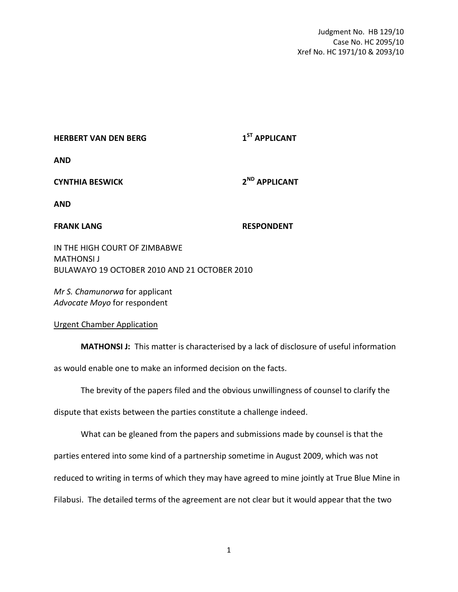Judgment No. HB 129/10 Case No. HC 2095/10 Xref No. HC 1971/10 & 2093/10

| <b>HERBERT VAN DEN BERG</b> | 1 <sup>51</sup> APPLICANT |
|-----------------------------|---------------------------|
| <b>AND</b>                  |                           |

## **CYNTHIA BESWICK 2 ND APPLICANT**

**AND**

**FRANK LANG RESPONDENT** 

IN THE HIGH COURT OF ZIMBABWE MATHONSI J BULAWAYO 19 OCTOBER 2010 AND 21 OCTOBER 2010

*Mr S. Chamunorwa* for applicant *Advocate Moyo* for respondent

Urgent Chamber Application

**MATHONSI J:** This matter is characterised by a lack of disclosure of useful information

as would enable one to make an informed decision on the facts.

The brevity of the papers filed and the obvious unwillingness of counsel to clarify the

dispute that exists between the parties constitute a challenge indeed.

What can be gleaned from the papers and submissions made by counsel is that the

parties entered into some kind of a partnership sometime in August 2009, which was not

reduced to writing in terms of which they may have agreed to mine jointly at True Blue Mine in

Filabusi. The detailed terms of the agreement are not clear but it would appear that the two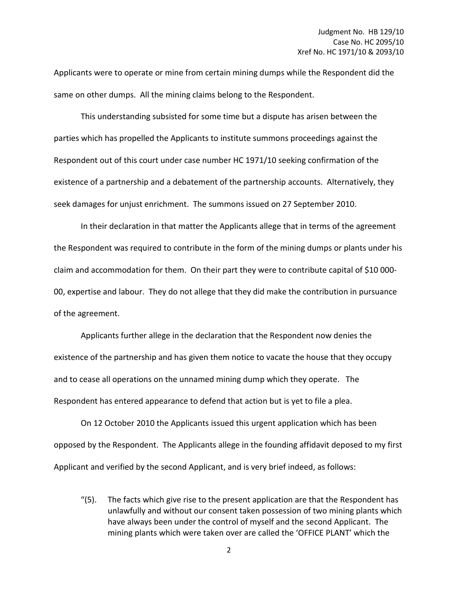Applicants were to operate or mine from certain mining dumps while the Respondent did the same on other dumps. All the mining claims belong to the Respondent.

This understanding subsisted for some time but a dispute has arisen between the parties which has propelled the Applicants to institute summons proceedings against the Respondent out of this court under case number HC 1971/10 seeking confirmation of the existence of a partnership and a debatement of the partnership accounts. Alternatively, they seek damages for unjust enrichment. The summons issued on 27 September 2010.

In their declaration in that matter the Applicants allege that in terms of the agreement the Respondent was required to contribute in the form of the mining dumps or plants under his claim and accommodation for them. On their part they were to contribute capital of \$10 000- 00, expertise and labour. They do not allege that they did make the contribution in pursuance of the agreement.

Applicants further allege in the declaration that the Respondent now denies the existence of the partnership and has given them notice to vacate the house that they occupy and to cease all operations on the unnamed mining dump which they operate. The Respondent has entered appearance to defend that action but is yet to file a plea.

On 12 October 2010 the Applicants issued this urgent application which has been opposed by the Respondent. The Applicants allege in the founding affidavit deposed to my first Applicant and verified by the second Applicant, and is very brief indeed, as follows:

"(5). The facts which give rise to the present application are that the Respondent has unlawfully and without our consent taken possession of two mining plants which have always been under the control of myself and the second Applicant. The mining plants which were taken over are called the 'OFFICE PLANT' which the

2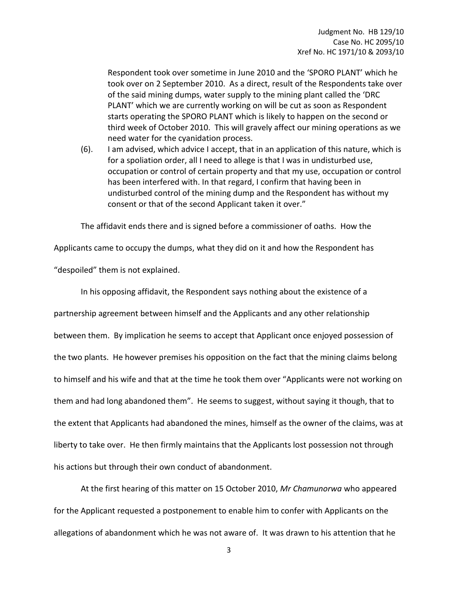Respondent took over sometime in June 2010 and the 'SPORO PLANT' which he took over on 2 September 2010. As a direct, result of the Respondents take over of the said mining dumps, water supply to the mining plant called the 'DRC PLANT' which we are currently working on will be cut as soon as Respondent starts operating the SPORO PLANT which is likely to happen on the second or third week of October 2010. This will gravely affect our mining operations as we need water for the cyanidation process.

(6). I am advised, which advice I accept, that in an application of this nature, which is for a spoliation order, all I need to allege is that I was in undisturbed use, occupation or control of certain property and that my use, occupation or control has been interfered with. In that regard, I confirm that having been in undisturbed control of the mining dump and the Respondent has without my consent or that of the second Applicant taken it over."

The affidavit ends there and is signed before a commissioner of oaths. How the

Applicants came to occupy the dumps, what they did on it and how the Respondent has "despoiled" them is not explained.

In his opposing affidavit, the Respondent says nothing about the existence of a partnership agreement between himself and the Applicants and any other relationship between them. By implication he seems to accept that Applicant once enjoyed possession of the two plants. He however premises his opposition on the fact that the mining claims belong to himself and his wife and that at the time he took them over "Applicants were not working on them and had long abandoned them". He seems to suggest, without saying it though, that to the extent that Applicants had abandoned the mines, himself as the owner of the claims, was at liberty to take over. He then firmly maintains that the Applicants lost possession not through his actions but through their own conduct of abandonment.

At the first hearing of this matter on 15 October 2010, *Mr Chamunorwa* who appeared for the Applicant requested a postponement to enable him to confer with Applicants on the allegations of abandonment which he was not aware of. It was drawn to his attention that he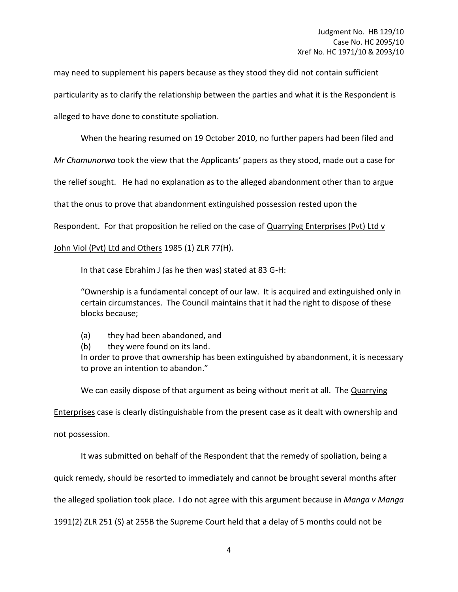may need to supplement his papers because as they stood they did not contain sufficient particularity as to clarify the relationship between the parties and what it is the Respondent is alleged to have done to constitute spoliation.

When the hearing resumed on 19 October 2010, no further papers had been filed and

*Mr Chamunorwa* took the view that the Applicants' papers as they stood, made out a case for

the relief sought. He had no explanation as to the alleged abandonment other than to argue

that the onus to prove that abandonment extinguished possession rested upon the

Respondent. For that proposition he relied on the case of Quarrying Enterprises (Pvt) Ltd v

## John Viol (Pvt) Ltd and Others 1985 (1) ZLR 77(H).

In that case Ebrahim J (as he then was) stated at 83 G-H:

"Ownership is a fundamental concept of our law. It is acquired and extinguished only in certain circumstances. The Council maintains that it had the right to dispose of these blocks because;

- (a) they had been abandoned, and
- (b) they were found on its land.

In order to prove that ownership has been extinguished by abandonment, it is necessary to prove an intention to abandon."

We can easily dispose of that argument as being without merit at all. The Quarrying

Enterprises case is clearly distinguishable from the present case as it dealt with ownership and

not possession.

It was submitted on behalf of the Respondent that the remedy of spoliation, being a

quick remedy, should be resorted to immediately and cannot be brought several months after

the alleged spoliation took place. I do not agree with this argument because in *Manga v Manga*

1991(2) ZLR 251 (S) at 255B the Supreme Court held that a delay of 5 months could not be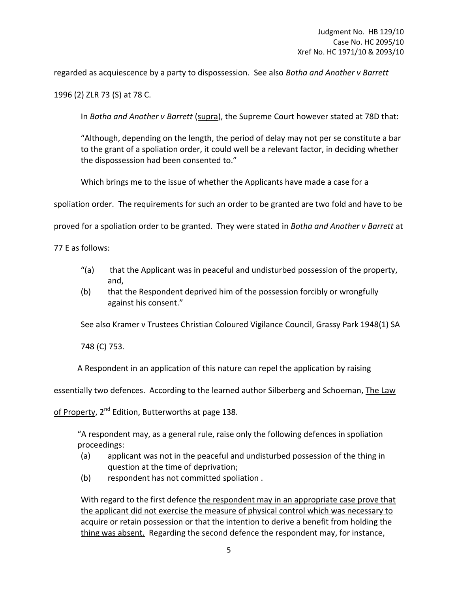regarded as acquiescence by a party to dispossession. See also *Botha and Another v Barrett*

1996 (2) ZLR 73 (S) at 78 C.

In *Botha and Another v Barrett* (supra), the Supreme Court however stated at 78D that:

"Although, depending on the length, the period of delay may not per se constitute a bar to the grant of a spoliation order, it could well be a relevant factor, in deciding whether the dispossession had been consented to."

Which brings me to the issue of whether the Applicants have made a case for a

spoliation order. The requirements for such an order to be granted are two fold and have to be

proved for a spoliation order to be granted. They were stated in *Botha and Another v Barrett* at

77 E as follows:

- "(a) that the Applicant was in peaceful and undisturbed possession of the property, and,
- (b) that the Respondent deprived him of the possession forcibly or wrongfully against his consent."

See also Kramer v Trustees Christian Coloured Vigilance Council, Grassy Park 1948(1) SA

748 (C) 753.

A Respondent in an application of this nature can repel the application by raising

essentially two defences. According to the learned author Silberberg and Schoeman, The Law

of Property,  $2^{nd}$  Edition, Butterworths at page 138.

"A respondent may, as a general rule, raise only the following defences in spoliation proceedings:

- (a) applicant was not in the peaceful and undisturbed possession of the thing in question at the time of deprivation;
- (b) respondent has not committed spoliation .

With regard to the first defence the respondent may in an appropriate case prove that the applicant did not exercise the measure of physical control which was necessary to acquire or retain possession or that the intention to derive a benefit from holding the thing was absent. Regarding the second defence the respondent may, for instance,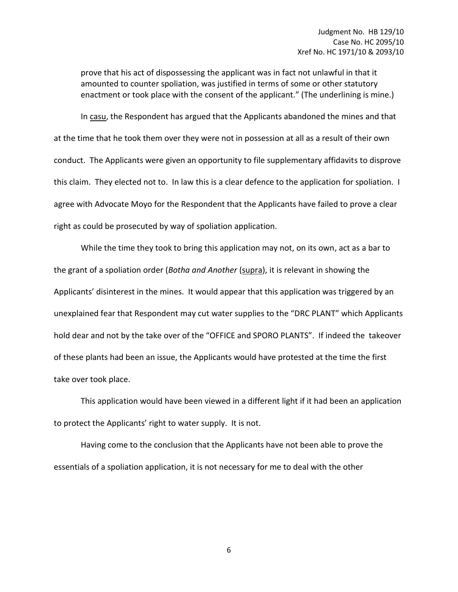prove that his act of dispossessing the applicant was in fact not unlawful in that it amounted to counter spoliation, was justified in terms of some or other statutory enactment or took place with the consent of the applicant." (The underlining is mine.)

In casu, the Respondent has argued that the Applicants abandoned the mines and that at the time that he took them over they were not in possession at all as a result of their own conduct. The Applicants were given an opportunity to file supplementary affidavits to disprove this claim. They elected not to. In law this is a clear defence to the application for spoliation. I agree with Advocate Moyo for the Respondent that the Applicants have failed to prove a clear right as could be prosecuted by way of spoliation application.

While the time they took to bring this application may not, on its own, act as a bar to the grant of a spoliation order (*Botha and Another* (supra), it is relevant in showing the Applicants' disinterest in the mines. It would appear that this application was triggered by an unexplained fear that Respondent may cut water supplies to the "DRC PLANT" which Applicants hold dear and not by the take over of the "OFFICE and SPORO PLANTS". If indeed the takeover of these plants had been an issue, the Applicants would have protested at the time the first take over took place.

This application would have been viewed in a different light if it had been an application to protect the Applicants' right to water supply. It is not.

Having come to the conclusion that the Applicants have not been able to prove the essentials of a spoliation application, it is not necessary for me to deal with the other

6